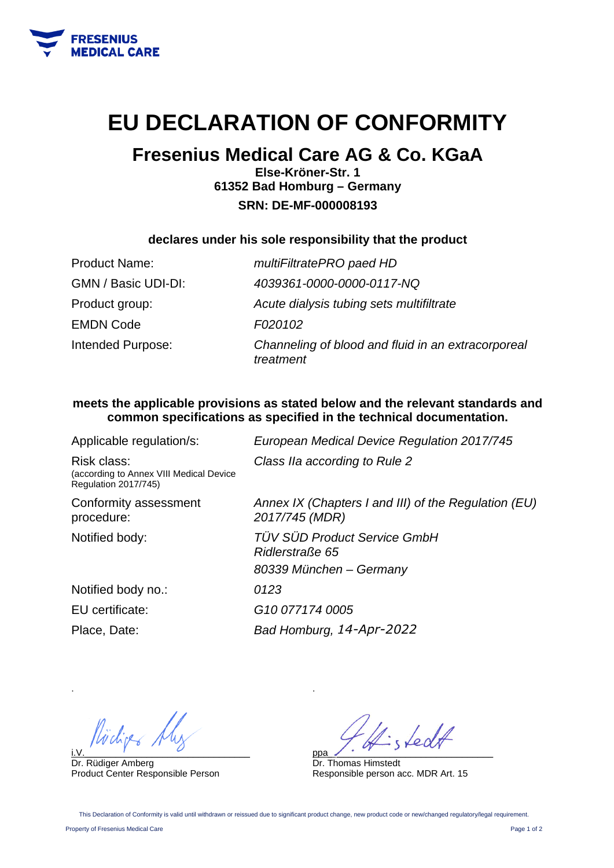

## **EU DECLARATION OF CONFORMITY**

### **Fresenius Medical Care AG & Co. KGaA**

**Else-Kröner-Str. 1 61352 Bad Homburg – Germany SRN: DE-MF-000008193** 

#### **declares under his sole responsibility that the product**

| <b>Product Name:</b> | multiFiltratePRO paed HD                                        |
|----------------------|-----------------------------------------------------------------|
| GMN / Basic UDI-DI:  | 4039361-0000-0000-0117-NQ                                       |
| Product group:       | Acute dialysis tubing sets multifiltrate                        |
| <b>EMDN Code</b>     | F020102                                                         |
| Intended Purpose:    | Channeling of blood and fluid in an extracorporeal<br>treatment |

#### **meets the applicable provisions as stated below and the relevant standards and common specifications as specified in the technical documentation.**

Applicable regulation/s: *European Medical Device Regulation 2017/745*  Risk class: (according to Annex VIII Medical Device Regulation 2017/745) *Class IIa according to Rule 2*  Conformity assessment procedure: *Annex IX (Chapters I and III) of the Regulation (EU) 2017/745 (MDR)*  Notified body: *TÜV SÜD Product Service GmbH Ridlerstraße 65 80339 München – Germany*  Notified body no.: *0123*  EU certificate: *G10 077174 0005*  Place, Date: *Bad Homburg, 14-Apr-2022*

i.V.\_\_\_\_\_\_\_\_\_\_\_\_\_\_\_\_\_\_\_\_\_\_\_\_\_\_\_\_\_\_\_\_

Dr. Rüdiger Amberg Product Center Responsible Person

ppa\_\_\_\_\_\_\_\_\_\_\_\_\_\_\_\_\_\_\_\_\_\_\_\_\_\_\_\_\_\_\_\_

Dr. Thomas Himstedt Responsible person acc. MDR Art. 15

This Declaration of Conformity is valid until withdrawn or reissued due to significant product change, new product code or new/changed regulatory/legal requirement

.

Property of Fresenius Medical Care Page 1 of 2

.